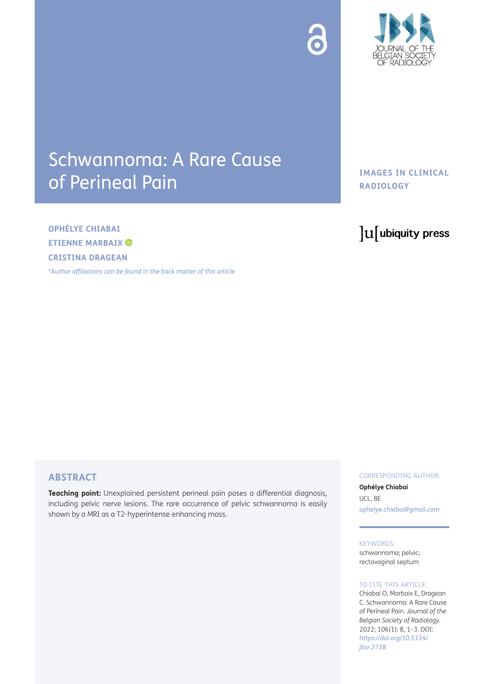



# Schwannoma: A Rare Cause of Perineal Pain

# **IMAGES IN CLINICAL RADIOLOGY**

**OPHÉLYE CHIABAI ETIENNE MARBAIX CRISTINA DRAGEAN**

*[\\*Author affiliations can be found in the back matter of this article](#page-2-0)*

# lu ubiquity press

### **ABSTRACT**

**Teaching point:** Unexplained persistent perineal pain poses a differential diagnosis, including pelvic nerve lesions. The rare occurrence of pelvic schwannoma is easily shown by a MRI as a T2-hyperintense enhancing mass.

#### CORRESPONDING AUTHOR:

**Ophélye Chiabai** UCL, BE *[ophelye.chiabai@gmail.com](mailto:ophelye.chiabai@gmail.com)*

KEYWORDS: schwannoma; pelvic; rectovaginal septum

#### TO CITE THIS ARTICLE:

Chiabai O, Marbaix E, Dragean C. Schwannoma: A Rare Cause of Perineal Pain. *Journal of the Belgian Society of Radiology.* 2022; 106(1): 8, 1–3. DOI: *[https://doi.org/10.5334/](https://doi.org/10.5334/jbsr.2738) [jbsr.2738](https://doi.org/10.5334/jbsr.2738)*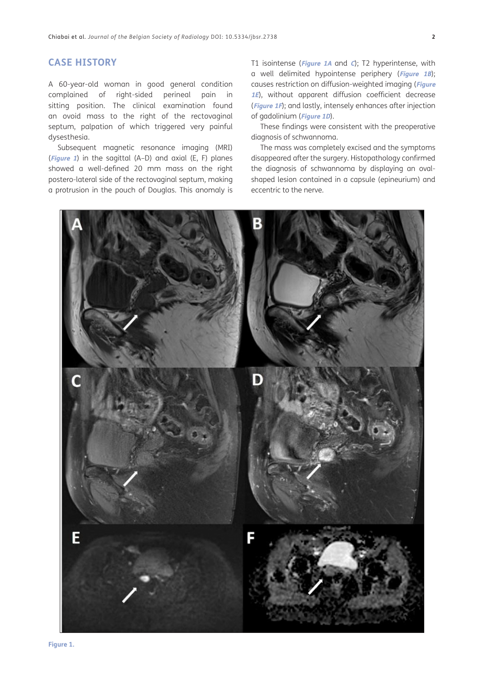#### **CASE HISTORY**

A 60-year-old woman in good general condition complained of right-sided perineal pain in sitting position. The clinical examination found an ovoid mass to the right of the rectovaginal septum, palpation of which triggered very painful dysesthesia.

Subsequent magnetic resonance imaging (MRI) (**[Figure 1](#page-1-0)**) in the sagittal (A–D) and axial (E, F) planes showed a well-defined 20 mm mass on the right postero-lateral side of the rectovaginal septum, making a protrusion in the pouch of Douglas. This anomaly is T1 isointense (**[Figure 1A](#page-1-0)** and **[C](#page-1-0)**); T2 hyperintense, with a well delimited hypointense periphery (**[Figure 1B](#page-1-0)**); causes restriction on diffusion-weighted imaging (**Figure [1E](#page-1-0)**), without apparent diffusion coefficient decrease (**[Figure 1F](#page-1-0)**); and lastly, intensely enhances after injection of gadolinium (**[Figure 1D](#page-1-0)**).

These findings were consistent with the preoperative diagnosis of schwannoma.

The mass was completely excised and the symptoms disappeared after the surgery. Histopathology confirmed the diagnosis of schwannoma by displaying an ovalshaped lesion contained in a capsule (epineurium) and eccentric to the nerve.

<span id="page-1-0"></span>